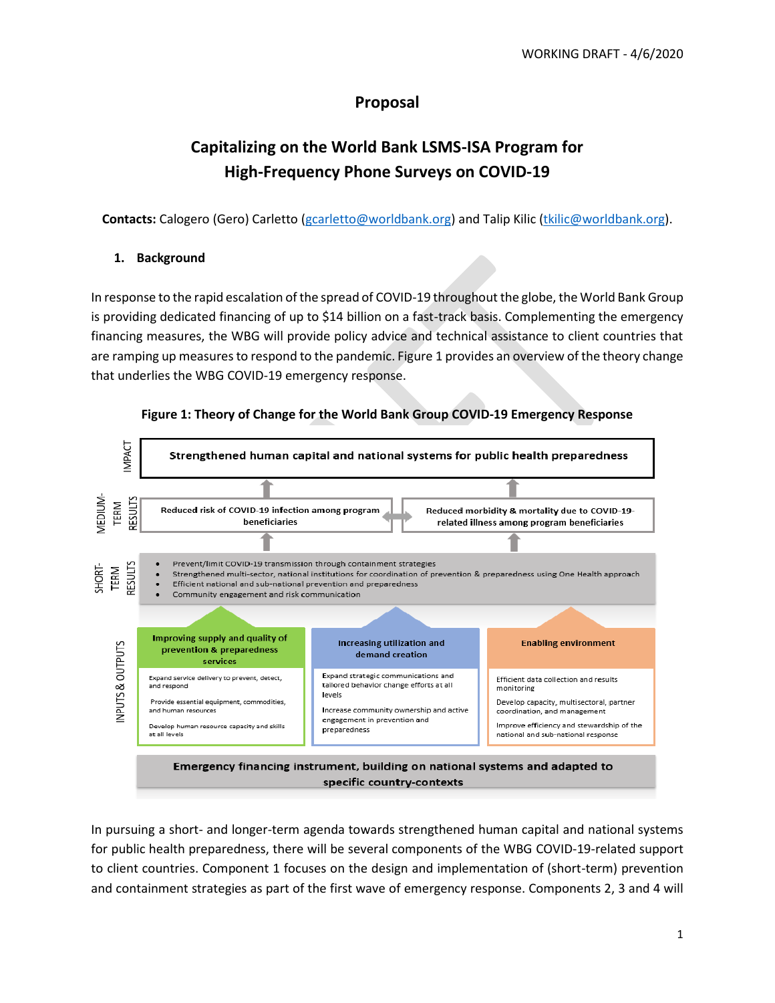# **Proposal**

# **Capitalizing on the World Bank LSMS-ISA Program for High-Frequency Phone Surveys on COVID-19**

**Contacts:** Calogero (Gero) Carletto [\(gcarletto@worldbank.org\)](mailto:gcarletto@worldbank.org) and Talip Kilic [\(tkilic@worldbank.org\)](mailto:tkilic@worldbank.org).

# **1. Background**

In response to the rapid escalation of the spread of COVID-19 throughout the globe, the World Bank Group is providing dedicated financing of up to \$14 billion on a fast-track basis. Complementing the emergency financing measures, the WBG will provide policy advice and technical assistance to client countries that are ramping up measures to respond to the pandemic. Figure 1 provides an overview of the theory change that underlies the WBG COVID-19 emergency response.



### **Figure 1: Theory of Change for the World Bank Group COVID-19 Emergency Response**

In pursuing a short- and longer-term agenda towards strengthened human capital and national systems for public health preparedness, there will be several components of the WBG COVID-19-related support to client countries. Component 1 focuses on the design and implementation of (short-term) prevention and containment strategies as part of the first wave of emergency response. Components 2, 3 and 4 will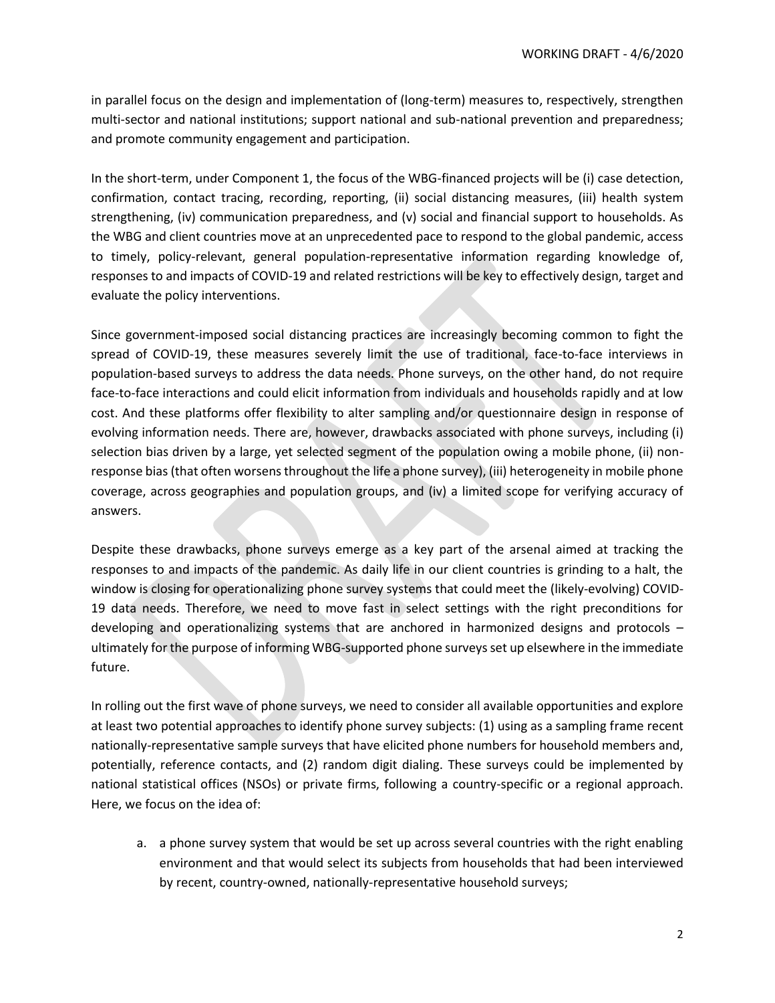in parallel focus on the design and implementation of (long-term) measures to, respectively, strengthen multi-sector and national institutions; support national and sub-national prevention and preparedness; and promote community engagement and participation.

In the short-term, under Component 1, the focus of the WBG-financed projects will be (i) case detection, confirmation, contact tracing, recording, reporting, (ii) social distancing measures, (iii) health system strengthening, (iv) communication preparedness, and (v) social and financial support to households. As the WBG and client countries move at an unprecedented pace to respond to the global pandemic, access to timely, policy-relevant, general population-representative information regarding knowledge of, responses to and impacts of COVID-19 and related restrictions will be key to effectively design, target and evaluate the policy interventions.

Since government-imposed social distancing practices are increasingly becoming common to fight the spread of COVID-19, these measures severely limit the use of traditional, face-to-face interviews in population-based surveys to address the data needs. Phone surveys, on the other hand, do not require face-to-face interactions and could elicit information from individuals and households rapidly and at low cost. And these platforms offer flexibility to alter sampling and/or questionnaire design in response of evolving information needs. There are, however, drawbacks associated with phone surveys, including (i) selection bias driven by a large, yet selected segment of the population owing a mobile phone, (ii) nonresponse bias(that often worsens throughout the life a phone survey), (iii) heterogeneity in mobile phone coverage, across geographies and population groups, and (iv) a limited scope for verifying accuracy of answers.

Despite these drawbacks, phone surveys emerge as a key part of the arsenal aimed at tracking the responses to and impacts of the pandemic. As daily life in our client countries is grinding to a halt, the window is closing for operationalizing phone survey systems that could meet the (likely-evolving) COVID-19 data needs. Therefore, we need to move fast in select settings with the right preconditions for developing and operationalizing systems that are anchored in harmonized designs and protocols – ultimately for the purpose of informing WBG-supported phone surveys set up elsewhere in the immediate future.

In rolling out the first wave of phone surveys, we need to consider all available opportunities and explore at least two potential approaches to identify phone survey subjects: (1) using as a sampling frame recent nationally-representative sample surveys that have elicited phone numbers for household members and, potentially, reference contacts, and (2) random digit dialing. These surveys could be implemented by national statistical offices (NSOs) or private firms, following a country-specific or a regional approach. Here, we focus on the idea of:

a. a phone survey system that would be set up across several countries with the right enabling environment and that would select its subjects from households that had been interviewed by recent, country-owned, nationally-representative household surveys;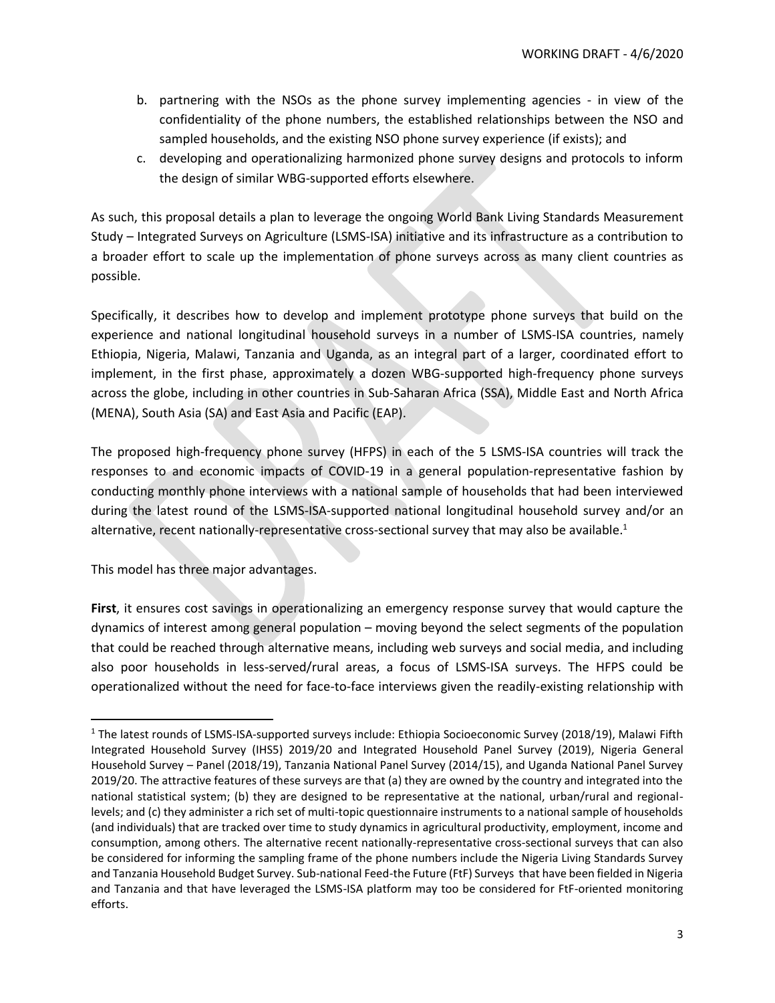- b. partnering with the NSOs as the phone survey implementing agencies in view of the confidentiality of the phone numbers, the established relationships between the NSO and sampled households, and the existing NSO phone survey experience (if exists); and
- c. developing and operationalizing harmonized phone survey designs and protocols to inform the design of similar WBG-supported efforts elsewhere.

As such, this proposal details a plan to leverage the ongoing World Bank Living Standards Measurement Study – Integrated Surveys on Agriculture (LSMS-ISA) initiative and its infrastructure as a contribution to a broader effort to scale up the implementation of phone surveys across as many client countries as possible.

Specifically, it describes how to develop and implement prototype phone surveys that build on the experience and national longitudinal household surveys in a number of LSMS-ISA countries, namely Ethiopia, Nigeria, Malawi, Tanzania and Uganda, as an integral part of a larger, coordinated effort to implement, in the first phase, approximately a dozen WBG-supported high-frequency phone surveys across the globe, including in other countries in Sub-Saharan Africa (SSA), Middle East and North Africa (MENA), South Asia (SA) and East Asia and Pacific (EAP).

The proposed high-frequency phone survey (HFPS) in each of the 5 LSMS-ISA countries will track the responses to and economic impacts of COVID-19 in a general population-representative fashion by conducting monthly phone interviews with a national sample of households that had been interviewed during the latest round of the LSMS-ISA-supported national longitudinal household survey and/or an alternative, recent nationally-representative cross-sectional survey that may also be available.<sup>1</sup>

This model has three major advantages.

 $\overline{\phantom{a}}$ 

**First**, it ensures cost savings in operationalizing an emergency response survey that would capture the dynamics of interest among general population – moving beyond the select segments of the population that could be reached through alternative means, including web surveys and social media, and including also poor households in less-served/rural areas, a focus of LSMS-ISA surveys. The HFPS could be operationalized without the need for face-to-face interviews given the readily-existing relationship with

<sup>&</sup>lt;sup>1</sup> The latest rounds of LSMS-ISA-supported surveys include: Ethiopia Socioeconomic Survey (2018/19), Malawi Fifth Integrated Household Survey (IHS5) 2019/20 and Integrated Household Panel Survey (2019), Nigeria General Household Survey – Panel (2018/19), Tanzania National Panel Survey (2014/15), and Uganda National Panel Survey 2019/20. The attractive features of these surveys are that (a) they are owned by the country and integrated into the national statistical system; (b) they are designed to be representative at the national, urban/rural and regionallevels; and (c) they administer a rich set of multi-topic questionnaire instruments to a national sample of households (and individuals) that are tracked over time to study dynamics in agricultural productivity, employment, income and consumption, among others. The alternative recent nationally-representative cross-sectional surveys that can also be considered for informing the sampling frame of the phone numbers include the Nigeria Living Standards Survey and Tanzania Household Budget Survey. Sub-national Feed-the Future (FtF) Surveys that have been fielded in Nigeria and Tanzania and that have leveraged the LSMS-ISA platform may too be considered for FtF-oriented monitoring efforts.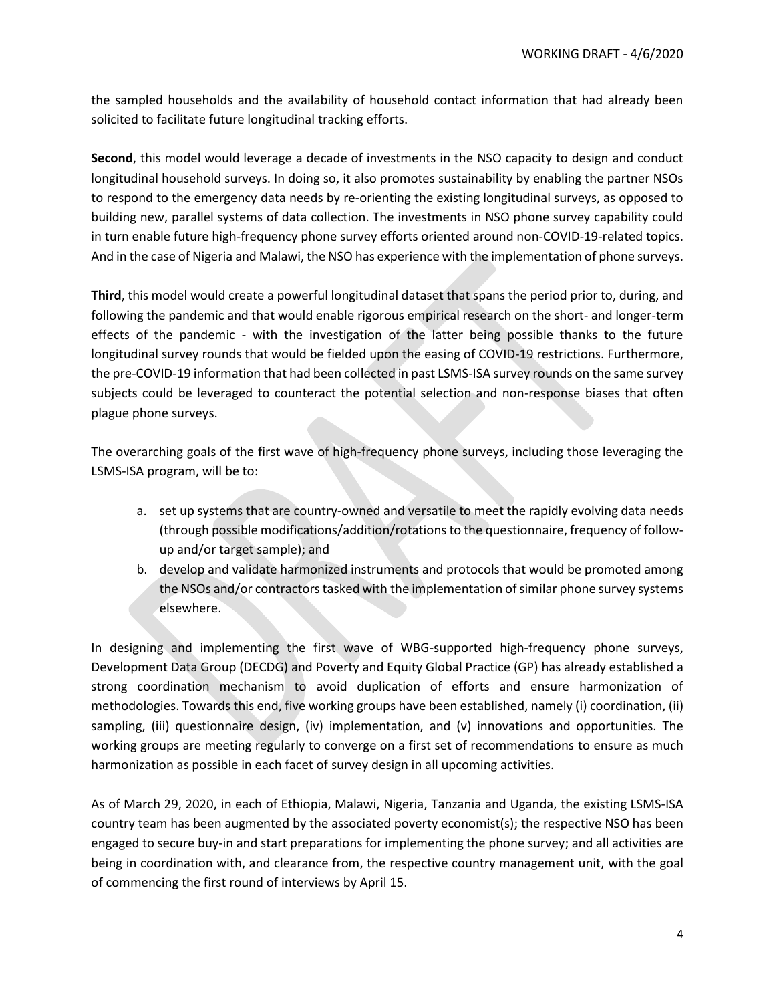the sampled households and the availability of household contact information that had already been solicited to facilitate future longitudinal tracking efforts.

**Second**, this model would leverage a decade of investments in the NSO capacity to design and conduct longitudinal household surveys. In doing so, it also promotes sustainability by enabling the partner NSOs to respond to the emergency data needs by re-orienting the existing longitudinal surveys, as opposed to building new, parallel systems of data collection. The investments in NSO phone survey capability could in turn enable future high-frequency phone survey efforts oriented around non-COVID-19-related topics. And in the case of Nigeria and Malawi, the NSO has experience with the implementation of phone surveys.

**Third**, this model would create a powerful longitudinal dataset that spans the period prior to, during, and following the pandemic and that would enable rigorous empirical research on the short- and longer-term effects of the pandemic - with the investigation of the latter being possible thanks to the future longitudinal survey rounds that would be fielded upon the easing of COVID-19 restrictions. Furthermore, the pre-COVID-19 information that had been collected in past LSMS-ISA survey rounds on the same survey subjects could be leveraged to counteract the potential selection and non-response biases that often plague phone surveys.

The overarching goals of the first wave of high-frequency phone surveys, including those leveraging the LSMS-ISA program, will be to:

- a. set up systems that are country-owned and versatile to meet the rapidly evolving data needs (through possible modifications/addition/rotations to the questionnaire, frequency of followup and/or target sample); and
- b. develop and validate harmonized instruments and protocols that would be promoted among the NSOs and/or contractors tasked with the implementation of similar phone survey systems elsewhere.

In designing and implementing the first wave of WBG-supported high-frequency phone surveys, Development Data Group (DECDG) and Poverty and Equity Global Practice (GP) has already established a strong coordination mechanism to avoid duplication of efforts and ensure harmonization of methodologies. Towards this end, five working groups have been established, namely (i) coordination, (ii) sampling, (iii) questionnaire design, (iv) implementation, and (v) innovations and opportunities. The working groups are meeting regularly to converge on a first set of recommendations to ensure as much harmonization as possible in each facet of survey design in all upcoming activities.

As of March 29, 2020, in each of Ethiopia, Malawi, Nigeria, Tanzania and Uganda, the existing LSMS-ISA country team has been augmented by the associated poverty economist(s); the respective NSO has been engaged to secure buy-in and start preparations for implementing the phone survey; and all activities are being in coordination with, and clearance from, the respective country management unit, with the goal of commencing the first round of interviews by April 15.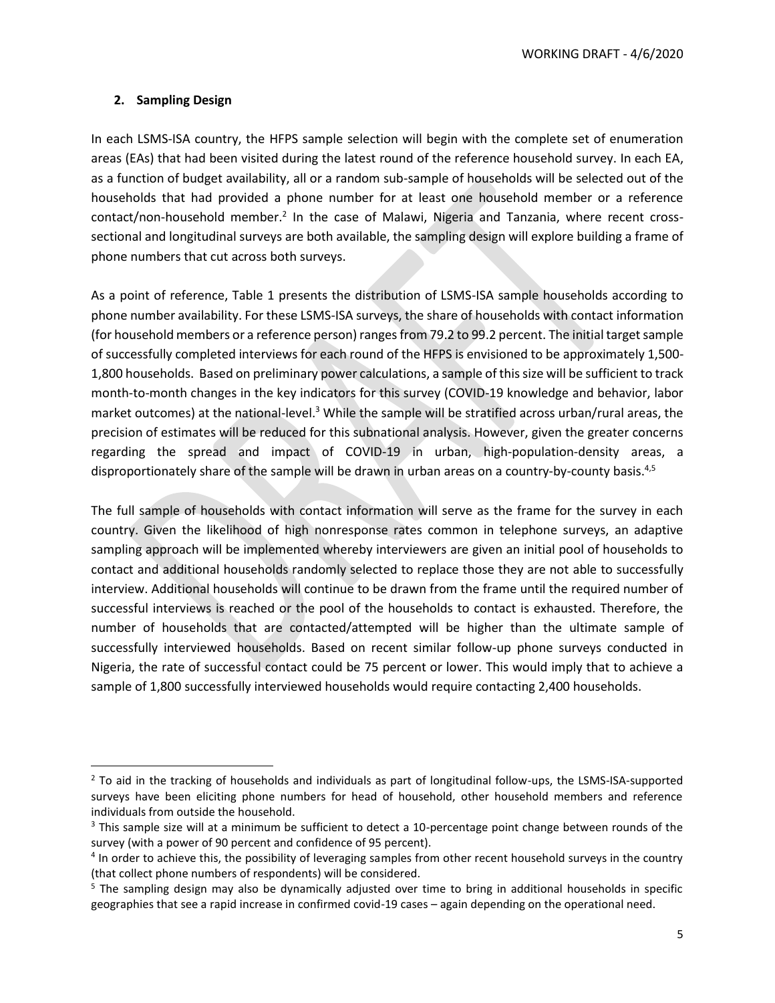# **2. Sampling Design**

 $\overline{\phantom{a}}$ 

In each LSMS-ISA country, the HFPS sample selection will begin with the complete set of enumeration areas (EAs) that had been visited during the latest round of the reference household survey. In each EA, as a function of budget availability, all or a random sub-sample of households will be selected out of the households that had provided a phone number for at least one household member or a reference contact/non-household member.<sup>2</sup> In the case of Malawi, Nigeria and Tanzania, where recent crosssectional and longitudinal surveys are both available, the sampling design will explore building a frame of phone numbers that cut across both surveys.

As a point of reference, Table 1 presents the distribution of LSMS-ISA sample households according to phone number availability. For these LSMS-ISA surveys, the share of households with contact information (for household members or a reference person) ranges from 79.2 to 99.2 percent. The initial target sample of successfully completed interviews for each round of the HFPS is envisioned to be approximately 1,500- 1,800 households. Based on preliminary power calculations, a sample of this size will be sufficient to track month-to-month changes in the key indicators for this survey (COVID-19 knowledge and behavior, labor market outcomes) at the national-level.<sup>3</sup> While the sample will be stratified across urban/rural areas, the precision of estimates will be reduced for this subnational analysis. However, given the greater concerns regarding the spread and impact of COVID-19 in urban, high-population-density areas, a disproportionately share of the sample will be drawn in urban areas on a country-by-county basis.<sup>4,5</sup>

The full sample of households with contact information will serve as the frame for the survey in each country. Given the likelihood of high nonresponse rates common in telephone surveys, an adaptive sampling approach will be implemented whereby interviewers are given an initial pool of households to contact and additional households randomly selected to replace those they are not able to successfully interview. Additional households will continue to be drawn from the frame until the required number of successful interviews is reached or the pool of the households to contact is exhausted. Therefore, the number of households that are contacted/attempted will be higher than the ultimate sample of successfully interviewed households. Based on recent similar follow-up phone surveys conducted in Nigeria, the rate of successful contact could be 75 percent or lower. This would imply that to achieve a sample of 1,800 successfully interviewed households would require contacting 2,400 households.

 $<sup>2</sup>$  To aid in the tracking of households and individuals as part of longitudinal follow-ups, the LSMS-ISA-supported</sup> surveys have been eliciting phone numbers for head of household, other household members and reference individuals from outside the household.

<sup>&</sup>lt;sup>3</sup> This sample size will at a minimum be sufficient to detect a 10-percentage point change between rounds of the survey (with a power of 90 percent and confidence of 95 percent).

<sup>&</sup>lt;sup>4</sup> In order to achieve this, the possibility of leveraging samples from other recent household surveys in the country (that collect phone numbers of respondents) will be considered.

<sup>&</sup>lt;sup>5</sup> The sampling design may also be dynamically adjusted over time to bring in additional households in specific geographies that see a rapid increase in confirmed covid-19 cases – again depending on the operational need.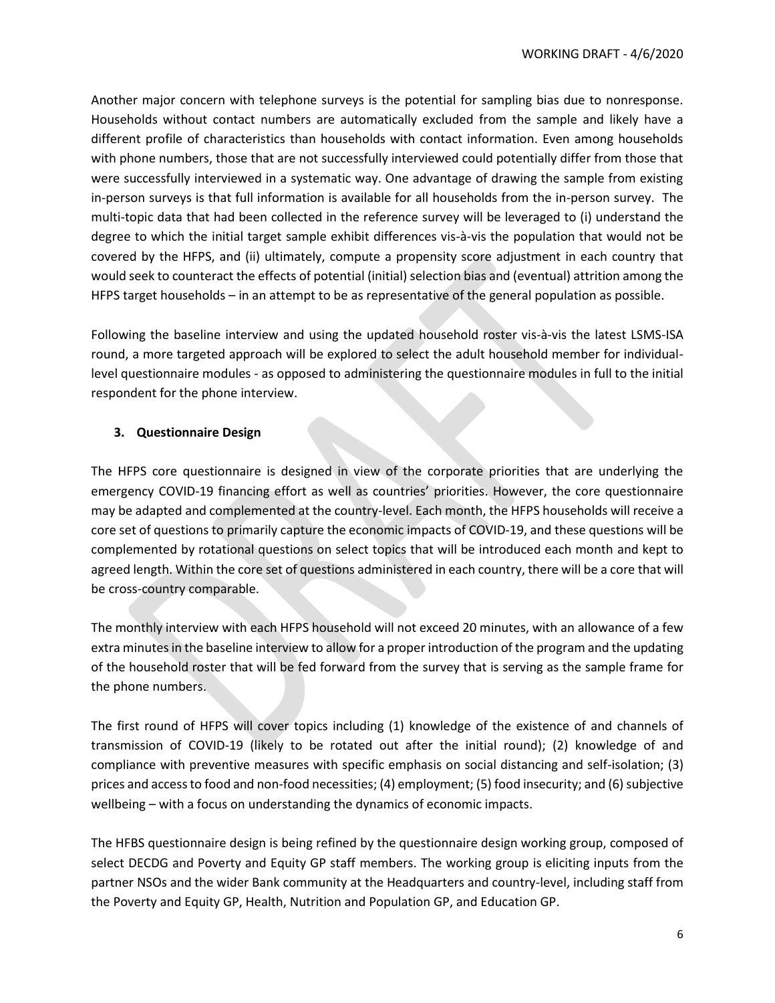Another major concern with telephone surveys is the potential for sampling bias due to nonresponse. Households without contact numbers are automatically excluded from the sample and likely have a different profile of characteristics than households with contact information. Even among households with phone numbers, those that are not successfully interviewed could potentially differ from those that were successfully interviewed in a systematic way. One advantage of drawing the sample from existing in-person surveys is that full information is available for all households from the in-person survey. The multi-topic data that had been collected in the reference survey will be leveraged to (i) understand the degree to which the initial target sample exhibit differences vis-à-vis the population that would not be covered by the HFPS, and (ii) ultimately, compute a propensity score adjustment in each country that would seek to counteract the effects of potential (initial) selection bias and (eventual) attrition among the HFPS target households – in an attempt to be as representative of the general population as possible.

Following the baseline interview and using the updated household roster vis-à-vis the latest LSMS-ISA round, a more targeted approach will be explored to select the adult household member for individuallevel questionnaire modules - as opposed to administering the questionnaire modules in full to the initial respondent for the phone interview.

## **3. Questionnaire Design**

The HFPS core questionnaire is designed in view of the corporate priorities that are underlying the emergency COVID-19 financing effort as well as countries' priorities. However, the core questionnaire may be adapted and complemented at the country-level. Each month, the HFPS households will receive a core set of questions to primarily capture the economic impacts of COVID-19, and these questions will be complemented by rotational questions on select topics that will be introduced each month and kept to agreed length. Within the core set of questions administered in each country, there will be a core that will be cross-country comparable.

The monthly interview with each HFPS household will not exceed 20 minutes, with an allowance of a few extra minutes in the baseline interview to allow for a proper introduction of the program and the updating of the household roster that will be fed forward from the survey that is serving as the sample frame for the phone numbers.

The first round of HFPS will cover topics including (1) knowledge of the existence of and channels of transmission of COVID-19 (likely to be rotated out after the initial round); (2) knowledge of and compliance with preventive measures with specific emphasis on social distancing and self-isolation; (3) prices and access to food and non-food necessities; (4) employment; (5) food insecurity; and (6) subjective wellbeing – with a focus on understanding the dynamics of economic impacts.

The HFBS questionnaire design is being refined by the questionnaire design working group, composed of select DECDG and Poverty and Equity GP staff members. The working group is eliciting inputs from the partner NSOs and the wider Bank community at the Headquarters and country-level, including staff from the Poverty and Equity GP, Health, Nutrition and Population GP, and Education GP.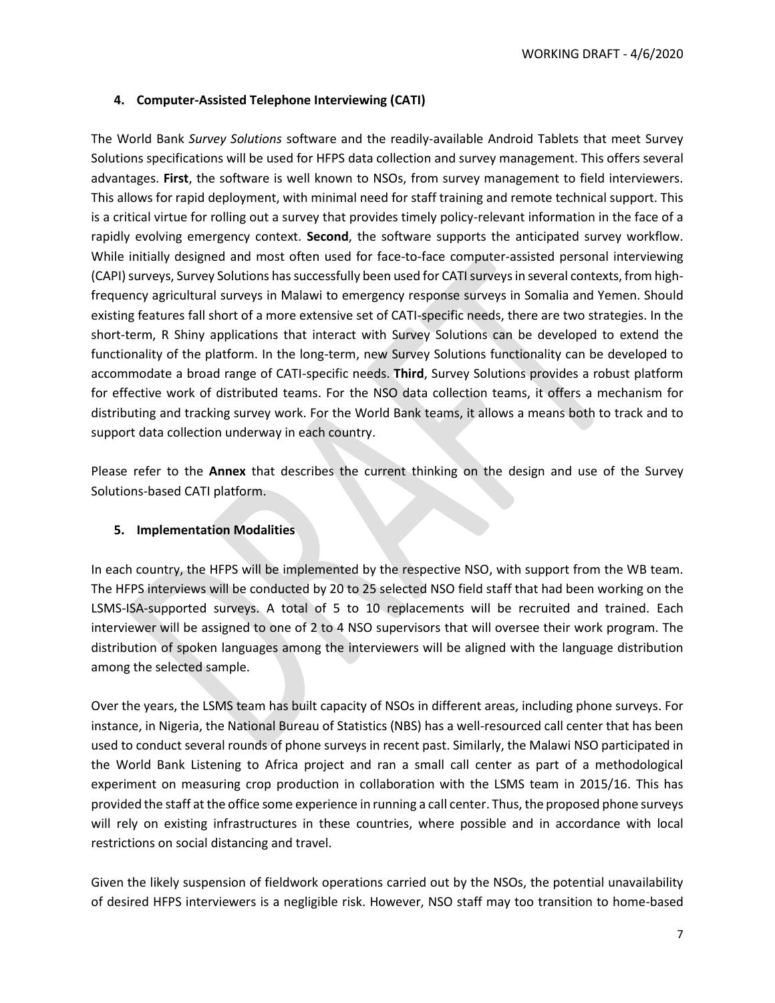# **4. Computer-Assisted Telephone Interviewing (CATI)**

The World Bank *Survey Solutions* software and the readily-available Android Tablets that meet Survey Solutions specifications will be used for HFPS data collection and survey management. This offers several advantages. **First**, the software is well known to NSOs, from survey management to field interviewers. This allows for rapid deployment, with minimal need for staff training and remote technical support. This is a critical virtue for rolling out a survey that provides timely policy-relevant information in the face of a rapidly evolving emergency context. **Second**, the software supports the anticipated survey workflow. While initially designed and most often used for face-to-face computer-assisted personal interviewing (CAPI) surveys, Survey Solutions has successfully been used for CATI surveys in several contexts, from highfrequency agricultural surveys in Malawi to emergency response surveys in Somalia and Yemen. Should existing features fall short of a more extensive set of CATI-specific needs, there are two strategies. In the short-term, R Shiny applications that interact with Survey Solutions can be developed to extend the functionality of the platform. In the long-term, new Survey Solutions functionality can be developed to accommodate a broad range of CATI-specific needs. **Third**, Survey Solutions provides a robust platform for effective work of distributed teams. For the NSO data collection teams, it offers a mechanism for distributing and tracking survey work. For the World Bank teams, it allows a means both to track and to support data collection underway in each country.

Please refer to the **Annex** that describes the current thinking on the design and use of the Survey Solutions-based CATI platform.

## **5. Implementation Modalities**

In each country, the HFPS will be implemented by the respective NSO, with support from the WB team. The HFPS interviews will be conducted by 20 to 25 selected NSO field staff that had been working on the LSMS-ISA-supported surveys. A total of 5 to 10 replacements will be recruited and trained. Each interviewer will be assigned to one of 2 to 4 NSO supervisors that will oversee their work program. The distribution of spoken languages among the interviewers will be aligned with the language distribution among the selected sample.

Over the years, the LSMS team has built capacity of NSOs in different areas, including phone surveys. For instance, in Nigeria, the National Bureau of Statistics (NBS) has a well-resourced call center that has been used to conduct several rounds of phone surveys in recent past. Similarly, the Malawi NSO participated in the World Bank Listening to Africa project and ran a small call center as part of a methodological experiment on measuring crop production in collaboration with the LSMS team in 2015/16. This has provided the staff at the office some experience in running a call center. Thus, the proposed phone surveys will rely on existing infrastructures in these countries, where possible and in accordance with local restrictions on social distancing and travel.

Given the likely suspension of fieldwork operations carried out by the NSOs, the potential unavailability of desired HFPS interviewers is a negligible risk. However, NSO staff may too transition to home-based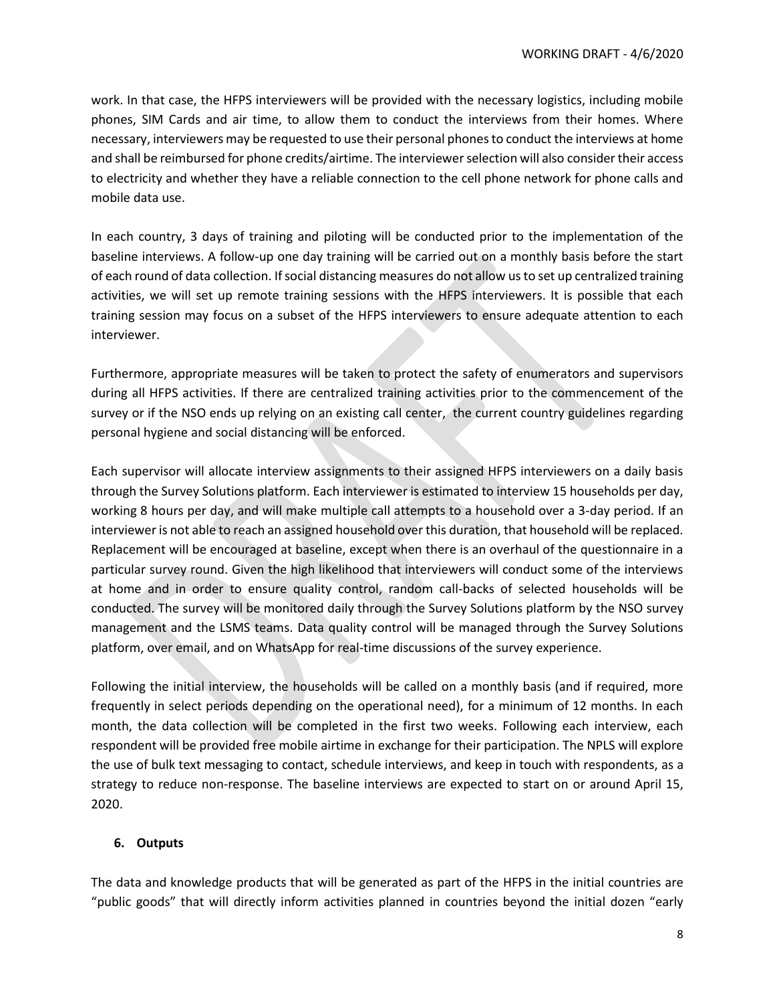work. In that case, the HFPS interviewers will be provided with the necessary logistics, including mobile phones, SIM Cards and air time, to allow them to conduct the interviews from their homes. Where necessary, interviewers may be requested to use their personal phones to conduct the interviews at home and shall be reimbursed for phone credits/airtime. The interviewer selection will also consider their access to electricity and whether they have a reliable connection to the cell phone network for phone calls and mobile data use.

In each country, 3 days of training and piloting will be conducted prior to the implementation of the baseline interviews. A follow-up one day training will be carried out on a monthly basis before the start of each round of data collection. If social distancing measures do not allow us to set up centralized training activities, we will set up remote training sessions with the HFPS interviewers. It is possible that each training session may focus on a subset of the HFPS interviewers to ensure adequate attention to each interviewer.

Furthermore, appropriate measures will be taken to protect the safety of enumerators and supervisors during all HFPS activities. If there are centralized training activities prior to the commencement of the survey or if the NSO ends up relying on an existing call center, the current country guidelines regarding personal hygiene and social distancing will be enforced.

Each supervisor will allocate interview assignments to their assigned HFPS interviewers on a daily basis through the Survey Solutions platform. Each interviewer is estimated to interview 15 households per day, working 8 hours per day, and will make multiple call attempts to a household over a 3-day period. If an interviewer is not able to reach an assigned household over this duration, that household will be replaced. Replacement will be encouraged at baseline, except when there is an overhaul of the questionnaire in a particular survey round. Given the high likelihood that interviewers will conduct some of the interviews at home and in order to ensure quality control, random call-backs of selected households will be conducted. The survey will be monitored daily through the Survey Solutions platform by the NSO survey management and the LSMS teams. Data quality control will be managed through the Survey Solutions platform, over email, and on WhatsApp for real-time discussions of the survey experience.

Following the initial interview, the households will be called on a monthly basis (and if required, more frequently in select periods depending on the operational need), for a minimum of 12 months. In each month, the data collection will be completed in the first two weeks. Following each interview, each respondent will be provided free mobile airtime in exchange for their participation. The NPLS will explore the use of bulk text messaging to contact, schedule interviews, and keep in touch with respondents, as a strategy to reduce non-response. The baseline interviews are expected to start on or around April 15, 2020.

## **6. Outputs**

The data and knowledge products that will be generated as part of the HFPS in the initial countries are "public goods" that will directly inform activities planned in countries beyond the initial dozen "early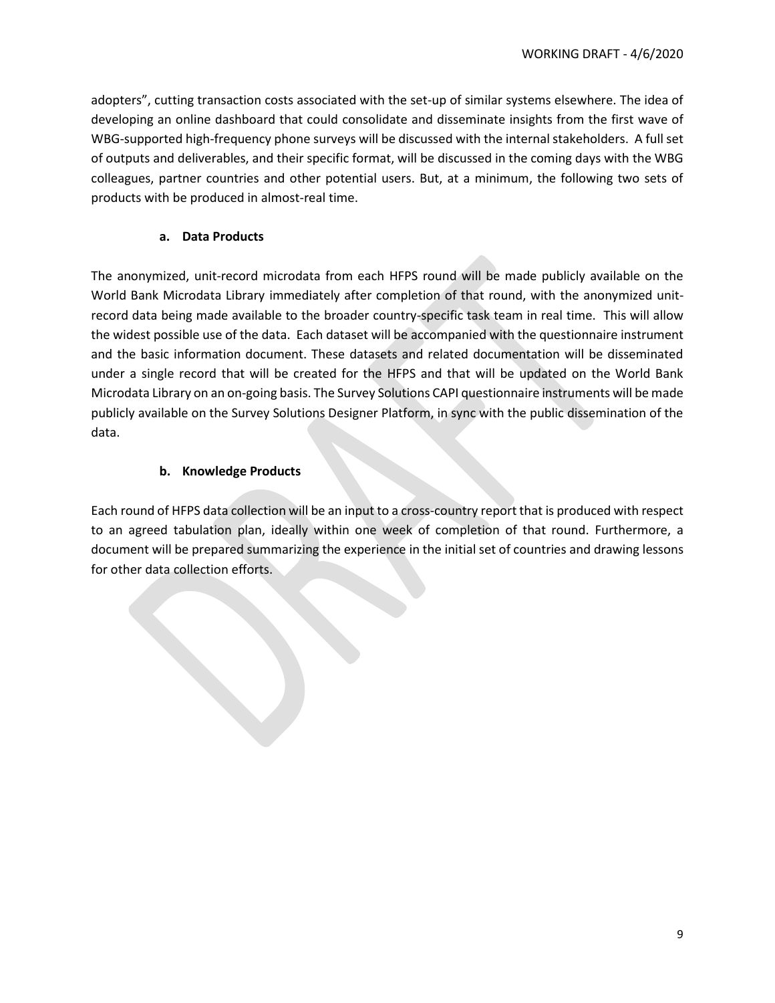adopters", cutting transaction costs associated with the set-up of similar systems elsewhere. The idea of developing an online dashboard that could consolidate and disseminate insights from the first wave of WBG-supported high-frequency phone surveys will be discussed with the internal stakeholders. A full set of outputs and deliverables, and their specific format, will be discussed in the coming days with the WBG colleagues, partner countries and other potential users. But, at a minimum, the following two sets of products with be produced in almost-real time.

# **a. Data Products**

The anonymized, unit-record microdata from each HFPS round will be made publicly available on the World Bank Microdata Library immediately after completion of that round, with the anonymized unitrecord data being made available to the broader country-specific task team in real time. This will allow the widest possible use of the data. Each dataset will be accompanied with the questionnaire instrument and the basic information document. These datasets and related documentation will be disseminated under a single record that will be created for the HFPS and that will be updated on the World Bank Microdata Library on an on-going basis. The Survey Solutions CAPI questionnaire instruments will be made publicly available on the Survey Solutions Designer Platform, in sync with the public dissemination of the data.

# **b. Knowledge Products**

Each round of HFPS data collection will be an input to a cross-country report that is produced with respect to an agreed tabulation plan, ideally within one week of completion of that round. Furthermore, a document will be prepared summarizing the experience in the initial set of countries and drawing lessons for other data collection efforts.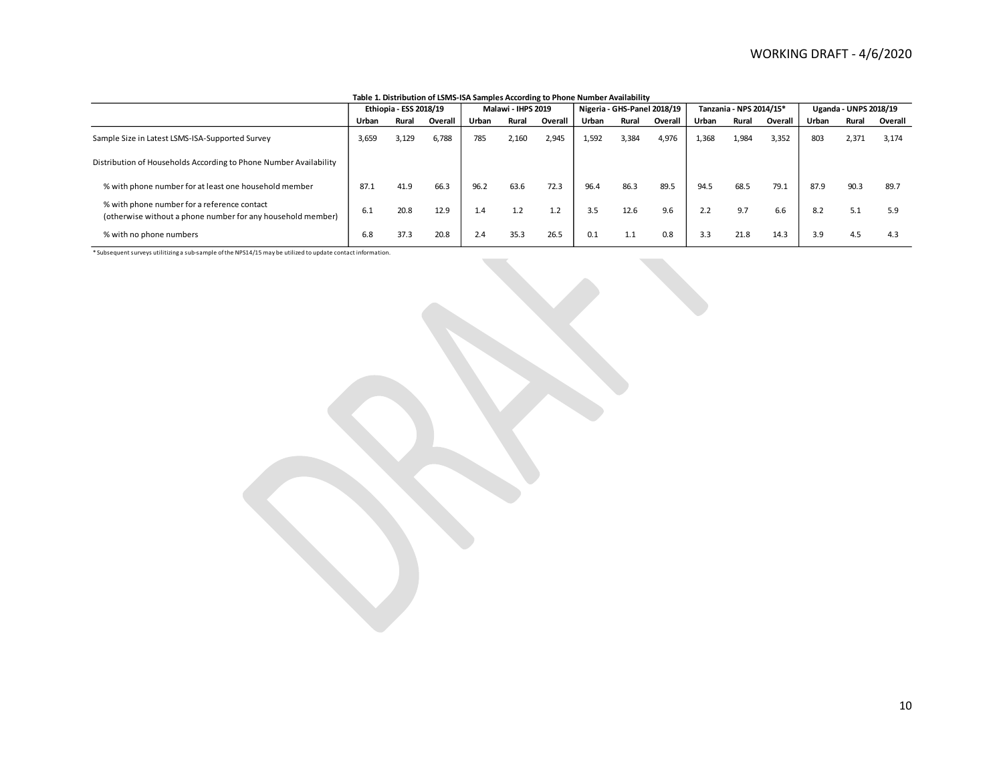|                                                                                                            | Ethiopia - ESS 2018/19 |       |         | Malawi - IHPS 2019 |       |         | Nigeria - GHS-Panel 2018/19 |       |         | Tanzania - NPS 2014/15* |       |         | <b>Uganda - UNPS 2018/19</b> |       |         |
|------------------------------------------------------------------------------------------------------------|------------------------|-------|---------|--------------------|-------|---------|-----------------------------|-------|---------|-------------------------|-------|---------|------------------------------|-------|---------|
|                                                                                                            | Urban                  | Rural | Overall | Urban              | Rural | Overall | Urban                       | Rural | Overall | Urban                   | Rural | Overall | Urban                        | Rural | Overall |
| Sample Size in Latest LSMS-ISA-Supported Survey                                                            | 3,659                  | 3,129 | 6,788   | 785                | 2,160 | 2,945   | 1,592                       | 3,384 | 4,976   | 1,368                   | 1,984 | 3,352   | 803                          | 2,371 | 3,174   |
| Distribution of Households According to Phone Number Availability                                          |                        |       |         |                    |       |         |                             |       |         |                         |       |         |                              |       |         |
| % with phone number for at least one household member                                                      | 87.1                   | 41.9  | 66.3    | 96.2               | 63.6  | 72.3    | 96.4                        | 86.3  | 89.5    | 94.5                    | 68.5  | 79.1    | 87.9                         | 90.3  | 89.7    |
| % with phone number for a reference contact<br>(otherwise without a phone number for any household member) | 6.1                    | 20.8  | 12.9    | 1.4                | 1.2   | 1.2     | 3.5                         | 12.6  | 9.6     | 2.2                     | 9.7   | 6.6     | 8.2                          | 5.1   | 5.9     |
| % with no phone numbers                                                                                    | 6.8                    | 37.3  | 20.8    | 2.4                | 35.3  | 26.5    | 0.1                         | 1.1   | 0.8     | 3.3                     | 21.8  | 14.3    | 3.9                          | 4.5   | 4.3     |

\* Subsequent surveys utilitizing a sub-sample of the NPS14/15 may be utilized to update contact information.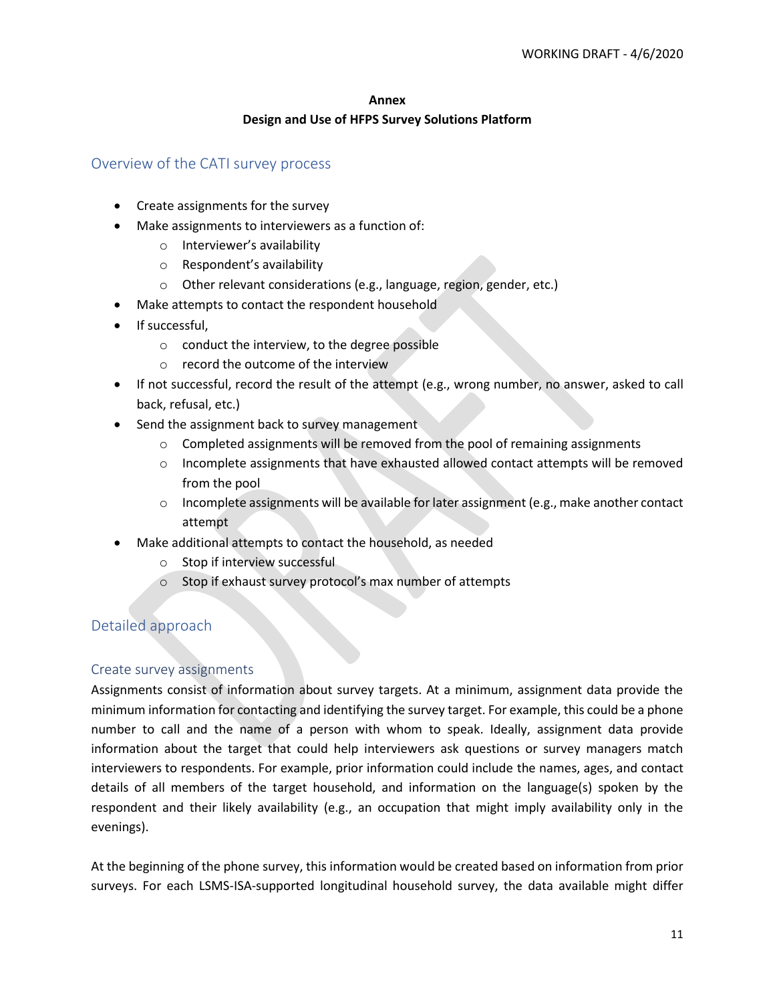#### **Annex**

# **Design and Use of HFPS Survey Solutions Platform**

# Overview of the CATI survey process

- Create assignments for the survey
- Make assignments to interviewers as a function of:
	- o Interviewer's availability
	- o Respondent's availability
	- o Other relevant considerations (e.g., language, region, gender, etc.)
- Make attempts to contact the respondent household
- If successful,
	- o conduct the interview, to the degree possible
	- o record the outcome of the interview
- If not successful, record the result of the attempt (e.g., wrong number, no answer, asked to call back, refusal, etc.)
- Send the assignment back to survey management
	- $\circ$  Completed assignments will be removed from the pool of remaining assignments
	- $\circ$  Incomplete assignments that have exhausted allowed contact attempts will be removed from the pool
	- $\circ$  Incomplete assignments will be available for later assignment (e.g., make another contact attempt
- Make additional attempts to contact the household, as needed
	- o Stop if interview successful
	- o Stop if exhaust survey protocol's max number of attempts

# Detailed approach

# Create survey assignments

Assignments consist of information about survey targets. At a minimum, assignment data provide the minimum information for contacting and identifying the survey target. For example, this could be a phone number to call and the name of a person with whom to speak. Ideally, assignment data provide information about the target that could help interviewers ask questions or survey managers match interviewers to respondents. For example, prior information could include the names, ages, and contact details of all members of the target household, and information on the language(s) spoken by the respondent and their likely availability (e.g., an occupation that might imply availability only in the evenings).

At the beginning of the phone survey, this information would be created based on information from prior surveys. For each LSMS-ISA-supported longitudinal household survey, the data available might differ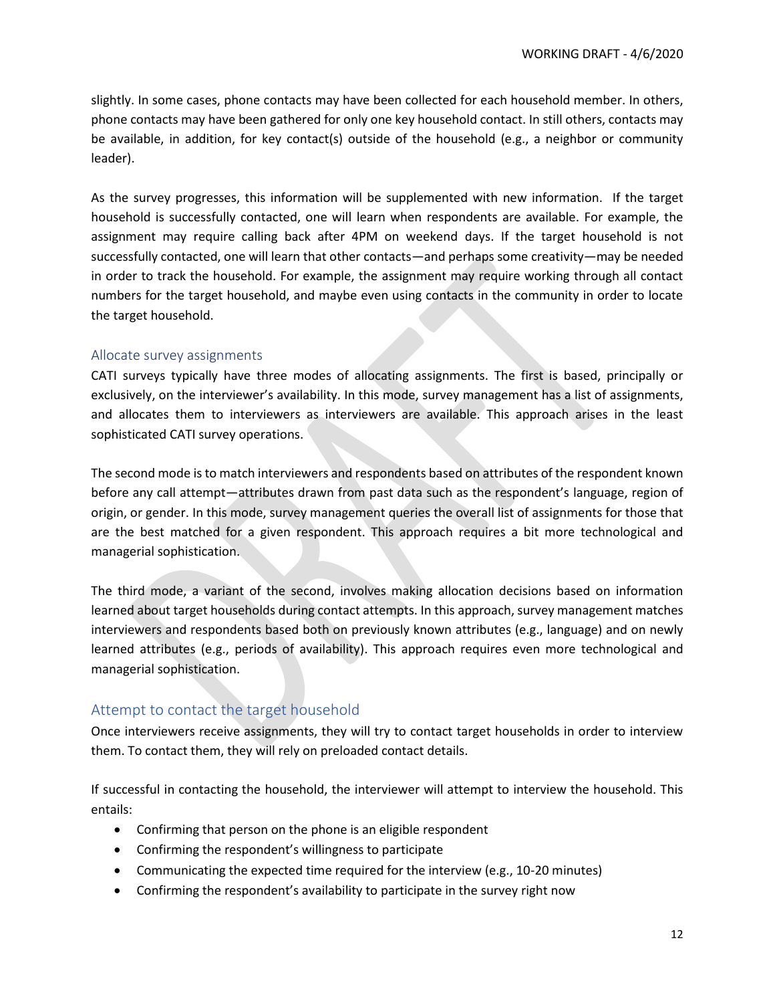slightly. In some cases, phone contacts may have been collected for each household member. In others, phone contacts may have been gathered for only one key household contact. In still others, contacts may be available, in addition, for key contact(s) outside of the household (e.g., a neighbor or community leader).

As the survey progresses, this information will be supplemented with new information. If the target household is successfully contacted, one will learn when respondents are available. For example, the assignment may require calling back after 4PM on weekend days. If the target household is not successfully contacted, one will learn that other contacts—and perhaps some creativity—may be needed in order to track the household. For example, the assignment may require working through all contact numbers for the target household, and maybe even using contacts in the community in order to locate the target household.

## Allocate survey assignments

CATI surveys typically have three modes of allocating assignments. The first is based, principally or exclusively, on the interviewer's availability. In this mode, survey management has a list of assignments, and allocates them to interviewers as interviewers are available. This approach arises in the least sophisticated CATI survey operations.

The second mode is to match interviewers and respondents based on attributes of the respondent known before any call attempt—attributes drawn from past data such as the respondent's language, region of origin, or gender. In this mode, survey management queries the overall list of assignments for those that are the best matched for a given respondent. This approach requires a bit more technological and managerial sophistication.

The third mode, a variant of the second, involves making allocation decisions based on information learned about target households during contact attempts. In this approach, survey management matches interviewers and respondents based both on previously known attributes (e.g., language) and on newly learned attributes (e.g., periods of availability). This approach requires even more technological and managerial sophistication.

# Attempt to contact the target household

Once interviewers receive assignments, they will try to contact target households in order to interview them. To contact them, they will rely on preloaded contact details.

If successful in contacting the household, the interviewer will attempt to interview the household. This entails:

- Confirming that person on the phone is an eligible respondent
- Confirming the respondent's willingness to participate
- Communicating the expected time required for the interview (e.g., 10-20 minutes)
- Confirming the respondent's availability to participate in the survey right now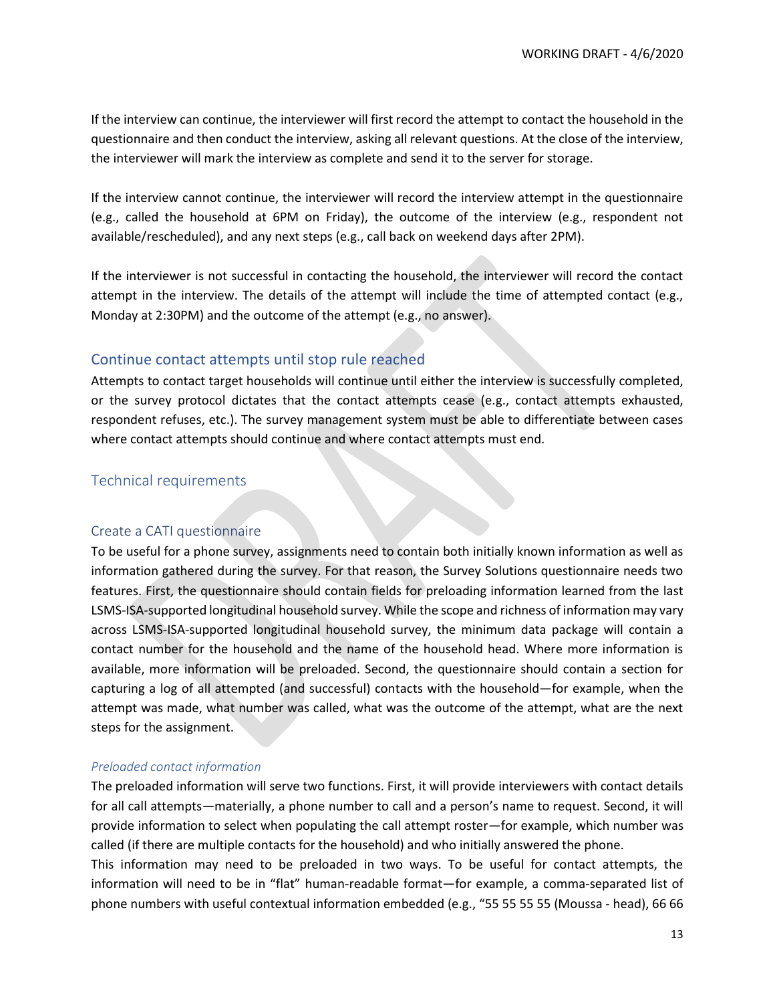If the interview can continue, the interviewer will first record the attempt to contact the household in the questionnaire and then conduct the interview, asking all relevant questions. At the close of the interview, the interviewer will mark the interview as complete and send it to the server for storage.

If the interview cannot continue, the interviewer will record the interview attempt in the questionnaire (e.g., called the household at 6PM on Friday), the outcome of the interview (e.g., respondent not available/rescheduled), and any next steps (e.g., call back on weekend days after 2PM).

If the interviewer is not successful in contacting the household, the interviewer will record the contact attempt in the interview. The details of the attempt will include the time of attempted contact (e.g., Monday at 2:30PM) and the outcome of the attempt (e.g., no answer).

# Continue contact attempts until stop rule reached

Attempts to contact target households will continue until either the interview is successfully completed, or the survey protocol dictates that the contact attempts cease (e.g., contact attempts exhausted, respondent refuses, etc.). The survey management system must be able to differentiate between cases where contact attempts should continue and where contact attempts must end.

## Technical requirements

## Create a CATI questionnaire

To be useful for a phone survey, assignments need to contain both initially known information as well as information gathered during the survey. For that reason, the Survey Solutions questionnaire needs two features. First, the questionnaire should contain fields for preloading information learned from the last LSMS-ISA-supported longitudinal household survey. While the scope and richness of information may vary across LSMS-ISA-supported longitudinal household survey, the minimum data package will contain a contact number for the household and the name of the household head. Where more information is available, more information will be preloaded. Second, the questionnaire should contain a section for capturing a log of all attempted (and successful) contacts with the household—for example, when the attempt was made, what number was called, what was the outcome of the attempt, what are the next steps for the assignment.

## *Preloaded contact information*

The preloaded information will serve two functions. First, it will provide interviewers with contact details for all call attempts—materially, a phone number to call and a person's name to request. Second, it will provide information to select when populating the call attempt roster—for example, which number was called (if there are multiple contacts for the household) and who initially answered the phone.

This information may need to be preloaded in two ways. To be useful for contact attempts, the information will need to be in "flat" human-readable format—for example, a comma-separated list of phone numbers with useful contextual information embedded (e.g., "55 55 55 55 (Moussa - head), 66 66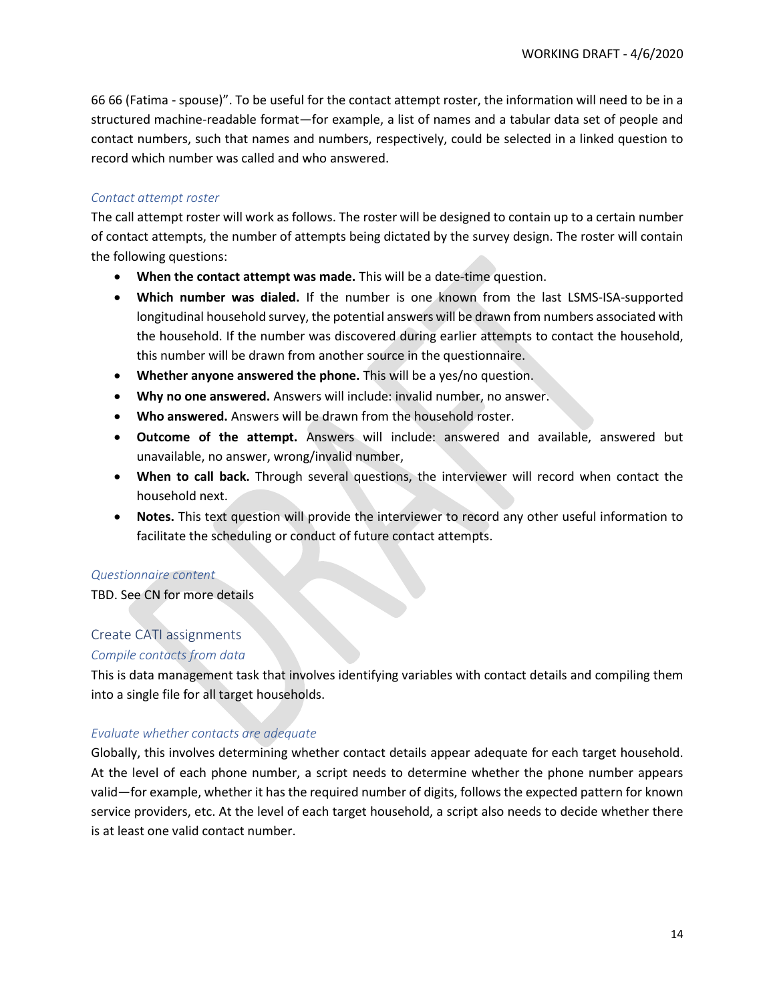66 66 (Fatima - spouse)". To be useful for the contact attempt roster, the information will need to be in a structured machine-readable format—for example, a list of names and a tabular data set of people and contact numbers, such that names and numbers, respectively, could be selected in a linked question to record which number was called and who answered.

### *Contact attempt roster*

The call attempt roster will work as follows. The roster will be designed to contain up to a certain number of contact attempts, the number of attempts being dictated by the survey design. The roster will contain the following questions:

- **When the contact attempt was made.** This will be a date-time question.
- **Which number was dialed.** If the number is one known from the last LSMS-ISA-supported longitudinal household survey, the potential answers will be drawn from numbers associated with the household. If the number was discovered during earlier attempts to contact the household, this number will be drawn from another source in the questionnaire.
- **Whether anyone answered the phone.** This will be a yes/no question.
- **Why no one answered.** Answers will include: invalid number, no answer.
- **Who answered.** Answers will be drawn from the household roster.
- **Outcome of the attempt.** Answers will include: answered and available, answered but unavailable, no answer, wrong/invalid number,
- **When to call back.** Through several questions, the interviewer will record when contact the household next.
- **Notes.** This text question will provide the interviewer to record any other useful information to facilitate the scheduling or conduct of future contact attempts.

#### *Questionnaire content*

TBD. See CN for more details

## Create CATI assignments

#### *Compile contacts from data*

This is data management task that involves identifying variables with contact details and compiling them into a single file for all target households.

#### *Evaluate whether contacts are adequate*

Globally, this involves determining whether contact details appear adequate for each target household. At the level of each phone number, a script needs to determine whether the phone number appears valid—for example, whether it has the required number of digits, follows the expected pattern for known service providers, etc. At the level of each target household, a script also needs to decide whether there is at least one valid contact number.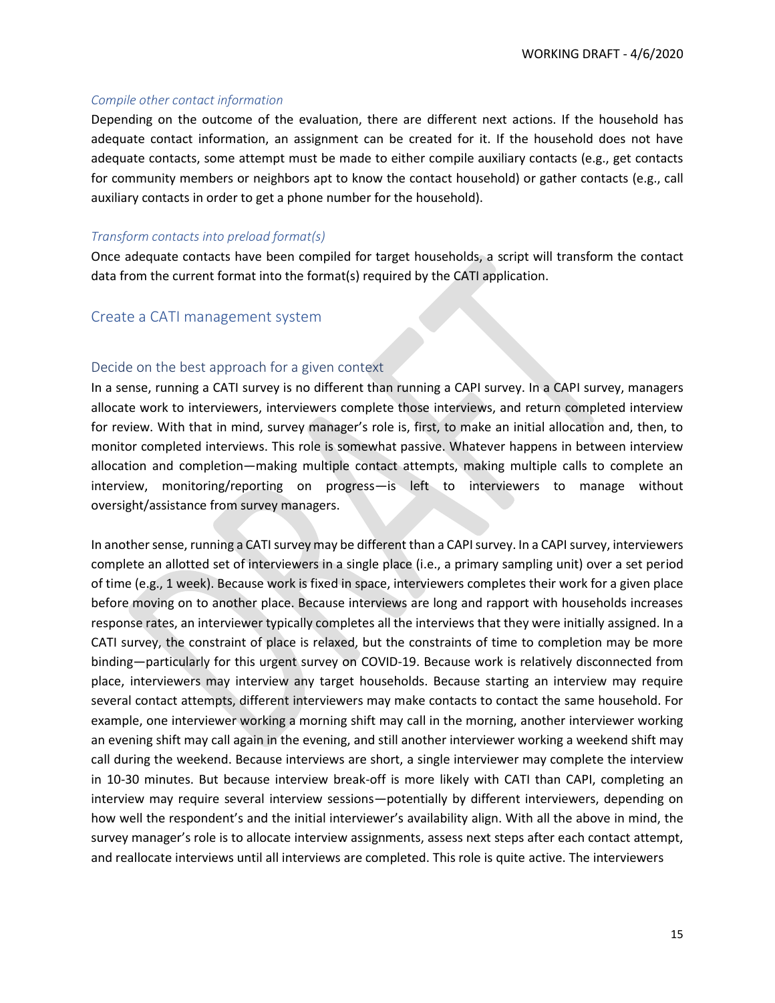#### *Compile other contact information*

Depending on the outcome of the evaluation, there are different next actions. If the household has adequate contact information, an assignment can be created for it. If the household does not have adequate contacts, some attempt must be made to either compile auxiliary contacts (e.g., get contacts for community members or neighbors apt to know the contact household) or gather contacts (e.g., call auxiliary contacts in order to get a phone number for the household).

### *Transform contacts into preload format(s)*

Once adequate contacts have been compiled for target households, a script will transform the contact data from the current format into the format(s) required by the CATI application.

# Create a CATI management system

#### Decide on the best approach for a given context

In a sense, running a CATI survey is no different than running a CAPI survey. In a CAPI survey, managers allocate work to interviewers, interviewers complete those interviews, and return completed interview for review. With that in mind, survey manager's role is, first, to make an initial allocation and, then, to monitor completed interviews. This role is somewhat passive. Whatever happens in between interview allocation and completion—making multiple contact attempts, making multiple calls to complete an interview, monitoring/reporting on progress—is left to interviewers to manage without oversight/assistance from survey managers.

In another sense, running a CATI survey may be different than a CAPI survey. In a CAPI survey, interviewers complete an allotted set of interviewers in a single place (i.e., a primary sampling unit) over a set period of time (e.g., 1 week). Because work is fixed in space, interviewers completes their work for a given place before moving on to another place. Because interviews are long and rapport with households increases response rates, an interviewer typically completes all the interviews that they were initially assigned. In a CATI survey, the constraint of place is relaxed, but the constraints of time to completion may be more binding—particularly for this urgent survey on COVID-19. Because work is relatively disconnected from place, interviewers may interview any target households. Because starting an interview may require several contact attempts, different interviewers may make contacts to contact the same household. For example, one interviewer working a morning shift may call in the morning, another interviewer working an evening shift may call again in the evening, and still another interviewer working a weekend shift may call during the weekend. Because interviews are short, a single interviewer may complete the interview in 10-30 minutes. But because interview break-off is more likely with CATI than CAPI, completing an interview may require several interview sessions—potentially by different interviewers, depending on how well the respondent's and the initial interviewer's availability align. With all the above in mind, the survey manager's role is to allocate interview assignments, assess next steps after each contact attempt, and reallocate interviews until all interviews are completed. This role is quite active. The interviewers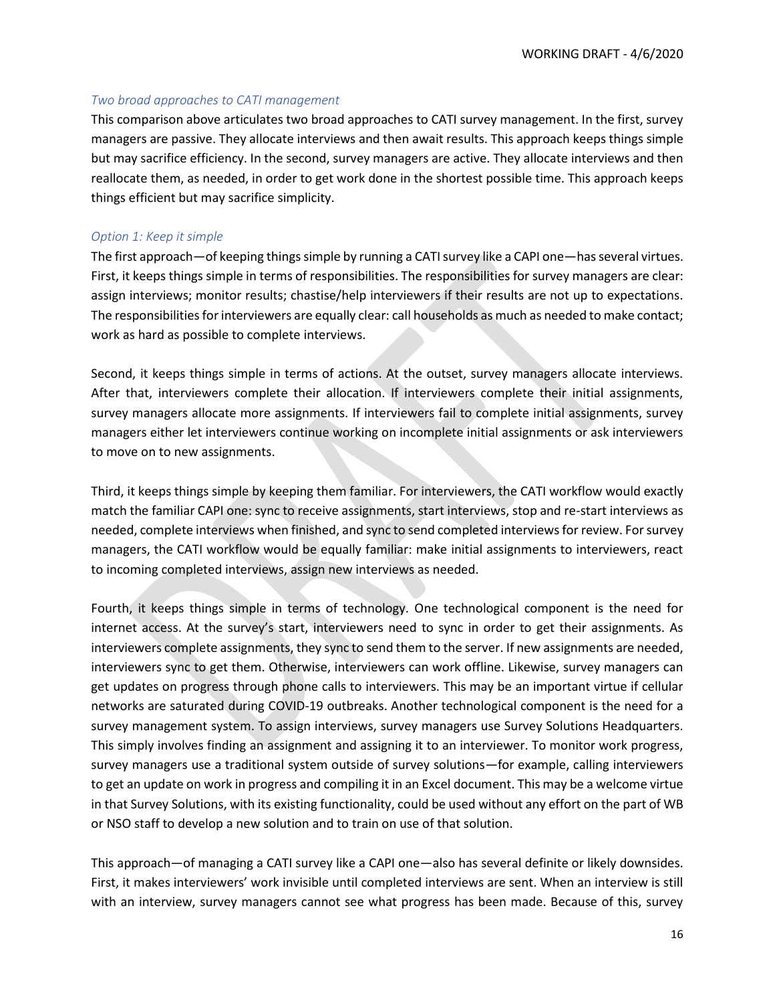### *Two broad approaches to CATI management*

This comparison above articulates two broad approaches to CATI survey management. In the first, survey managers are passive. They allocate interviews and then await results. This approach keeps things simple but may sacrifice efficiency. In the second, survey managers are active. They allocate interviews and then reallocate them, as needed, in order to get work done in the shortest possible time. This approach keeps things efficient but may sacrifice simplicity.

### *Option 1: Keep it simple*

The first approach—of keeping things simple by running a CATI survey like a CAPI one—has several virtues. First, it keeps things simple in terms of responsibilities. The responsibilities for survey managers are clear: assign interviews; monitor results; chastise/help interviewers if their results are not up to expectations. The responsibilities for interviewers are equally clear: call households as much as needed to make contact; work as hard as possible to complete interviews.

Second, it keeps things simple in terms of actions. At the outset, survey managers allocate interviews. After that, interviewers complete their allocation. If interviewers complete their initial assignments, survey managers allocate more assignments. If interviewers fail to complete initial assignments, survey managers either let interviewers continue working on incomplete initial assignments or ask interviewers to move on to new assignments.

Third, it keeps things simple by keeping them familiar. For interviewers, the CATI workflow would exactly match the familiar CAPI one: sync to receive assignments, start interviews, stop and re-start interviews as needed, complete interviews when finished, and sync to send completed interviews for review. For survey managers, the CATI workflow would be equally familiar: make initial assignments to interviewers, react to incoming completed interviews, assign new interviews as needed.

Fourth, it keeps things simple in terms of technology. One technological component is the need for internet access. At the survey's start, interviewers need to sync in order to get their assignments. As interviewers complete assignments, they sync to send them to the server. If new assignments are needed, interviewers sync to get them. Otherwise, interviewers can work offline. Likewise, survey managers can get updates on progress through phone calls to interviewers. This may be an important virtue if cellular networks are saturated during COVID-19 outbreaks. Another technological component is the need for a survey management system. To assign interviews, survey managers use Survey Solutions Headquarters. This simply involves finding an assignment and assigning it to an interviewer. To monitor work progress, survey managers use a traditional system outside of survey solutions—for example, calling interviewers to get an update on work in progress and compiling it in an Excel document. This may be a welcome virtue in that Survey Solutions, with its existing functionality, could be used without any effort on the part of WB or NSO staff to develop a new solution and to train on use of that solution.

This approach—of managing a CATI survey like a CAPI one—also has several definite or likely downsides. First, it makes interviewers' work invisible until completed interviews are sent. When an interview is still with an interview, survey managers cannot see what progress has been made. Because of this, survey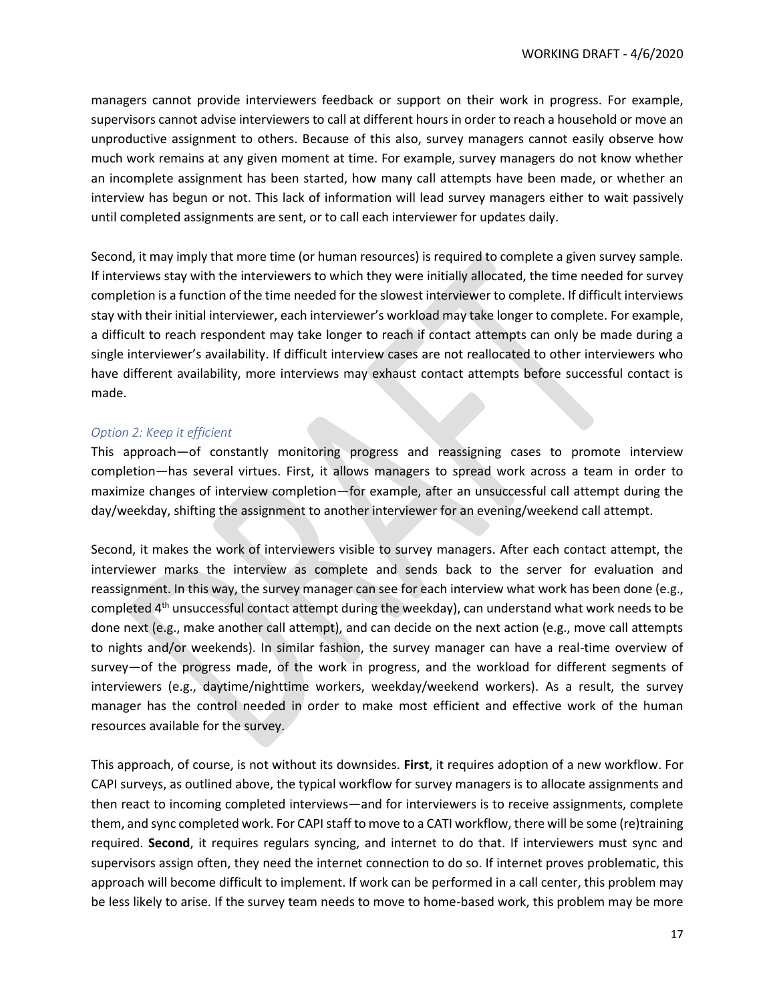managers cannot provide interviewers feedback or support on their work in progress. For example, supervisors cannot advise interviewers to call at different hours in order to reach a household or move an unproductive assignment to others. Because of this also, survey managers cannot easily observe how much work remains at any given moment at time. For example, survey managers do not know whether an incomplete assignment has been started, how many call attempts have been made, or whether an interview has begun or not. This lack of information will lead survey managers either to wait passively until completed assignments are sent, or to call each interviewer for updates daily.

Second, it may imply that more time (or human resources) is required to complete a given survey sample. If interviews stay with the interviewers to which they were initially allocated, the time needed for survey completion is a function of the time needed for the slowest interviewer to complete. If difficult interviews stay with their initial interviewer, each interviewer's workload may take longer to complete. For example, a difficult to reach respondent may take longer to reach if contact attempts can only be made during a single interviewer's availability. If difficult interview cases are not reallocated to other interviewers who have different availability, more interviews may exhaust contact attempts before successful contact is made.

#### *Option 2: Keep it efficient*

This approach—of constantly monitoring progress and reassigning cases to promote interview completion—has several virtues. First, it allows managers to spread work across a team in order to maximize changes of interview completion—for example, after an unsuccessful call attempt during the day/weekday, shifting the assignment to another interviewer for an evening/weekend call attempt.

Second, it makes the work of interviewers visible to survey managers. After each contact attempt, the interviewer marks the interview as complete and sends back to the server for evaluation and reassignment. In this way, the survey manager can see for each interview what work has been done (e.g., completed  $4<sup>th</sup>$  unsuccessful contact attempt during the weekday), can understand what work needs to be done next (e.g., make another call attempt), and can decide on the next action (e.g., move call attempts to nights and/or weekends). In similar fashion, the survey manager can have a real-time overview of survey—of the progress made, of the work in progress, and the workload for different segments of interviewers (e.g., daytime/nighttime workers, weekday/weekend workers). As a result, the survey manager has the control needed in order to make most efficient and effective work of the human resources available for the survey.

This approach, of course, is not without its downsides. **First**, it requires adoption of a new workflow. For CAPI surveys, as outlined above, the typical workflow for survey managers is to allocate assignments and then react to incoming completed interviews—and for interviewers is to receive assignments, complete them, and sync completed work. For CAPI staff to move to a CATI workflow, there will be some (re)training required. **Second**, it requires regulars syncing, and internet to do that. If interviewers must sync and supervisors assign often, they need the internet connection to do so. If internet proves problematic, this approach will become difficult to implement. If work can be performed in a call center, this problem may be less likely to arise. If the survey team needs to move to home-based work, this problem may be more